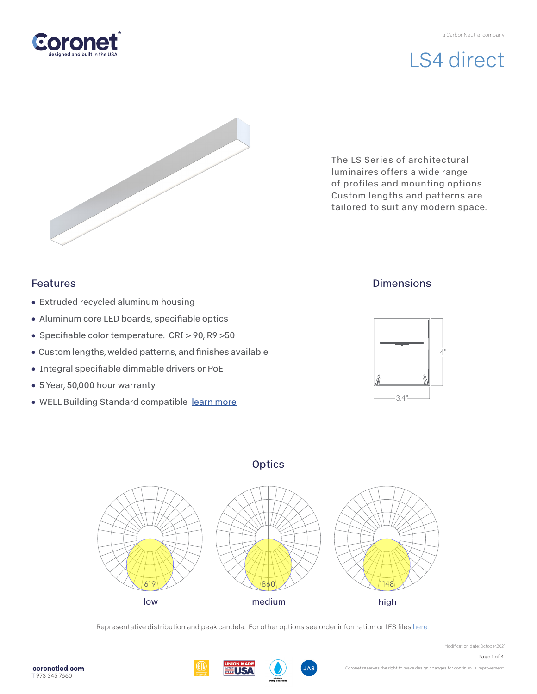

# LS4 direct



The LS Series of architectural luminaires offers a wide range of profiles and mounting options. Custom lengths and patterns are tailored to suit any modern space.

### Features

- Extruded recycled aluminum housing
- Aluminum core LED boards, specifiable optics
- Specifiable color temperature. CRI > 90, R9 > 50
- Custom lengths, welded patterns, and finishes available
- Integral specifiable dimmable drivers or PoE
- 5 Year, 50,000 hour warranty
- WELL Building Standard compatible [learn more](https://coronetled.com/well-v2-standard/)

## **Dimensions**



## **Optics**



Representative distribution and peak candela. For other options see order information or IES file[s here.](https://coronetled.com/downloads/)





Modification date: October,2021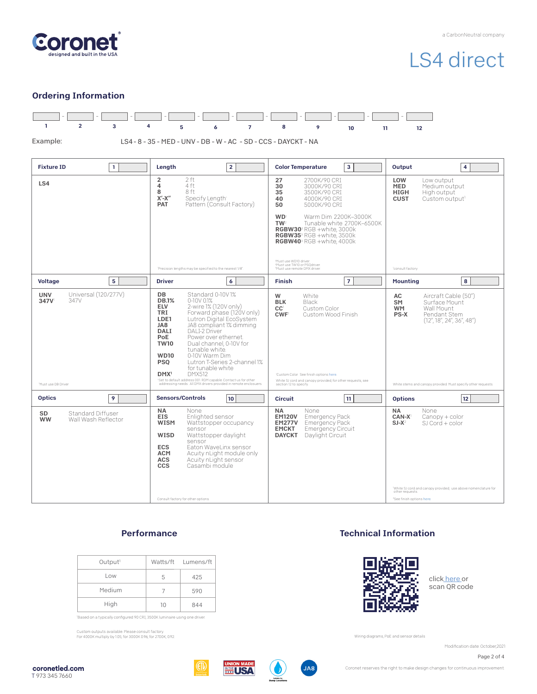

# LS4 direct

#### Ordering Information



#### **Performance**

| Output <sup>1</sup> |    | Watts/ft Lumens/ft |
|---------------------|----|--------------------|
| Low                 | 5  | 425                |
| Medium              |    | 590                |
| High                | 10 | 844                |

'Based on a typically configured 90 CRI, 3500K luminaire using one driver.

Custom outputs available. Please consult factory. For 4000K multiply by 1.05; for 3000K 0.96; for 2700K, 0.92.

#### Technical Information



clic[k here o](https://coronetled.com/warranty-technical-info/)r scan QR code

Wiring diagrams, PoE and sensor details

Modification date: October,2021

Page 2 of 4

coronetled.com T 973 345 7660





**JA8** 

Coronet reserves the right to make design changes for continuous improvement.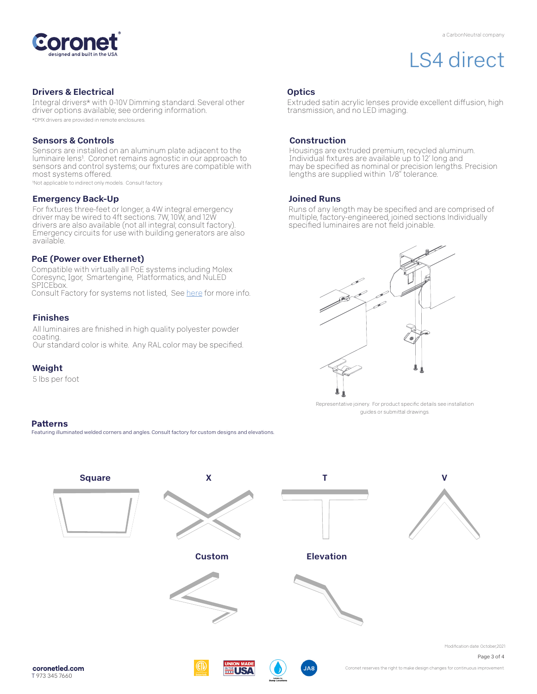

# LS4 direct

#### Drivers & Electrical

Integral drivers\* with 0-10V Dimming standard. Several other driver options available; see ordering information. \*DMX drivers are provided in remote enclosures.

#### Sensors & Controls

Sensors are installed on an aluminum plate adjacent to the luminaire lens1. Coronet remains agnostic in our approach to sensors and control systems; our fixtures are compatible with most systems offered.

1Not applicable to indirect only models. Consult factory.

#### Emergency Back-Up

For fixtures three-feet or longer, a 4W integral emergency driver may be wired to 4ft sections. 7W, 10W, and 12W drivers are also available (not all integral; consult factory). Emergency circuits for use with building generators are also available.

#### PoE (Power over Ethernet)

Compatible with virtually all PoE systems including Molex Coresync, Igor, Smartengine, Platformatics, and NuLED SPICEbox. Consult Factory for systems not listed, See here for more info.

#### Finishes

All luminaires are finished in high quality polyester powder coating. Our standard color is white. Any RAL color may be specified.

#### Weight

5 lbs per foot

#### **Patterns**

Featuring illuminated welded corners and angles. Consult factory for custom designs and elevations

### **Optics**

Extruded satin acrylic lenses provide excellent diffusion, high transmission, and no LED imaging.

#### Construction

Housings are extruded premium, recycled aluminum. Individual fixtures are available up to 12' long and may be specified as nominal or precision lengths. Precision lengths are supplied within 1/8" tolerance.

#### Joined Runs

Runs of any length may be specified and are comprised of multiple, factory-engineered, joined sections. Individually specified luminaires are not field joinable.



Representative joinery. For product specific details see installation guides or submittal drawings.